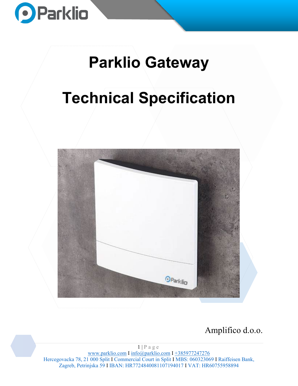

# **Parklio Gateway**

# **Technical Specification**



Amplifico d.o.o.

 $1 | P \text{ a } g \text{ e}$ [www.parklio.com](http://www.parklio.com/) I [info@parklio.com](mailto:info@parklio.com) I +385977247276 Hercegovacka 78, 21 000 Split I Commercial Court in Split I MBS: 060323069 I Raiffeisen Bank, Zagreb, Petrinjska 59 I IBAN: HR7724840081107194017 I VAT: HR60755958894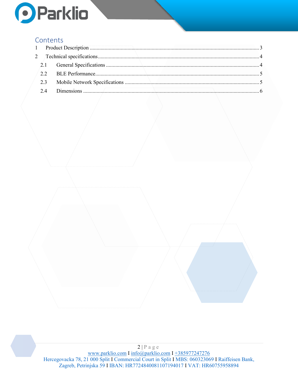

### **Contents**

2 | Page [www.parklio.com](http://www.parklio.com/) I [info@parklio.com](mailto:info@parklio.com) I +385977247276 Hercegovacka 78, 21 000 Split I Commercial Court in Split I MBS: 060323069 I Raiffeisen Bank, Zagreb, Petrinjska 59 I IBAN: HR7724840081107194017 I VAT: HR60755958894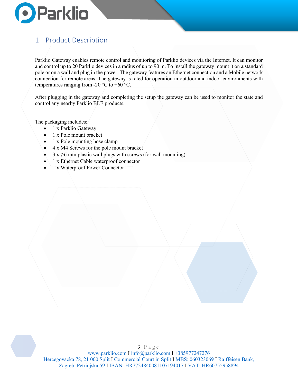

## <span id="page-2-0"></span>1 Product Description

Parklio Gateway enables remote control and monitoring of Parklio devices via the Internet. It can monitor and control up to 20 Parklio devices in a radius of up to 90 m. To install the gateway mount it on a standard pole or on a wall and plug in the power. The gateway features an Ethernet connection and a Mobile network connection for remote areas. The gateway is rated for operation in outdoor and indoor environments with temperatures ranging from -20  $\rm{^{\circ}C}$  to +60  $\rm{^{\circ}C}$ .

After plugging in the gateway and completing the setup the gateway can be used to monitor the state and control any nearby Parklio BLE products.

The packaging includes:

- 1 x Parklio Gateway
- 1 x Pole mount bracket
- 1 x Pole mounting hose clamp
- 4 x M4 Screws for the pole mount bracket
- $3 \times \emptyset$ 6 mm plastic wall plugs with screws (for wall mounting)
- 1 x Ethernet Cable waterproof connector
- 1 x Waterproof Power Connector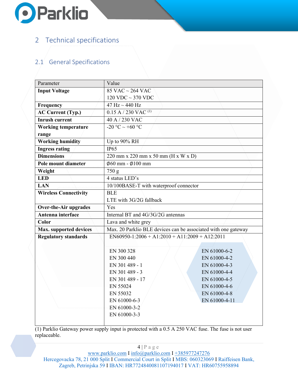

# <span id="page-3-0"></span>2 Technical specifications

#### <span id="page-3-1"></span>2.1 General Specifications

| Parameter                    | Value                                                          |               |
|------------------------------|----------------------------------------------------------------|---------------|
| <b>Input Voltage</b>         | 85 VAC $\sim$ 264 VAC                                          |               |
|                              | $120$ VDC $\sim$ 370 VDC                                       |               |
| Frequency                    | 47 Hz $\sim$ 440 Hz                                            |               |
| <b>AC Current (Typ.)</b>     | $0.15$ A $/$ 230 VAC <sup>(1)</sup>                            |               |
| <b>Inrush current</b>        | 40 A / 230 VAC                                                 |               |
| <b>Working temperature</b>   | $-20 °C \sim +60 °C$                                           |               |
| range                        |                                                                |               |
| <b>Working humidity</b>      | Up to 90% RH                                                   |               |
| <b>Ingress rating</b>        | IP65                                                           |               |
| <b>Dimensions</b>            | 220 mm x 220 mm x 50 mm (H x W x D)                            |               |
| Pole mount diameter          | $\emptyset$ 60 mm - Ø $100$ mm                                 |               |
| Weight                       | 750 g                                                          |               |
| <b>LED</b>                   | 4 status LED's                                                 |               |
| <b>LAN</b>                   | 10/100BASE-T with waterproof connector                         |               |
| <b>Wireless Connectivity</b> | <b>BLE</b>                                                     |               |
|                              | LTE with 3G/2G fallback                                        |               |
| <b>Over-the-Air upgrades</b> | Yes                                                            |               |
| Antenna interface            | Internal BT and 4G/3G/2G antennas                              |               |
| Color                        | Lava and white grey                                            |               |
| Max. supported devices       | Max. 20 Parklio BLE devices can be associated with one gateway |               |
| <b>Regulatory standards</b>  | $EN60950-1:2006+A1:2010+A11:2009+A12:2011$                     |               |
|                              |                                                                |               |
|                              | EN 300 328                                                     | EN 61000-6-2  |
|                              | EN 300 440                                                     | EN 61000-4-2  |
|                              | EN 301 489 - 1                                                 | EN 61000-4-3  |
|                              | EN 301 489 - 3                                                 | EN 61000-4-4  |
|                              | EN 301 489 - 17                                                | EN 61000-4-5  |
|                              | EN 55024                                                       | EN 61000-4-6  |
|                              | EN 55032                                                       | EN 61000-4-8  |
|                              | EN 61000-6-3                                                   | EN 61000-4-11 |
|                              | EN 61000-3-2                                                   |               |
|                              | EN 61000-3-3                                                   |               |
|                              |                                                                |               |

(1) Parklio Gateway power supply input is protected with a 0.5 A 250 VAC fuse. The fuse is not user replaceable.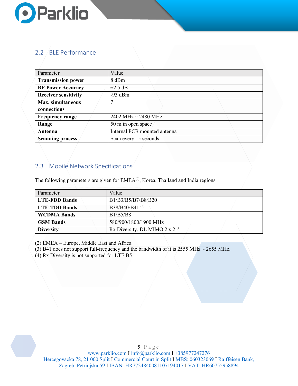

#### <span id="page-4-0"></span>2.2 BLE Performance

| Parameter                   | Value                        |
|-----------------------------|------------------------------|
| <b>Transmission power</b>   | 8 dBm                        |
| <b>RF Power Accuracy</b>    | $\pm 2.5$ dB                 |
| <b>Receiver sensitivity</b> | $-93$ dBm                    |
| <b>Max.</b> simultaneous    |                              |
| connections                 |                              |
| <b>Frequency range</b>      | 2402 MHz $\sim$ 2480 MHz     |
| Range                       | 50 m in open space           |
| Antenna                     | Internal PCB mounted antenna |
| <b>Scanning process</b>     | Scan every 15 seconds        |

#### <span id="page-4-1"></span>2.3 Mobile Network Specifications

The following parameters are given for EMEA<sup>(2)</sup>, Korea, Thailand and India regions.

| Parameter            | Value                             |  |
|----------------------|-----------------------------------|--|
| <b>LTE-FDD Bands</b> | B1/B3/B5/B7/B8/B20                |  |
| <b>LTE-TDD Bands</b> | $B38/B40/B41^{(3)}$               |  |
| <b>WCDMA Bands</b>   | B1/B5/B8                          |  |
| <b>GSM Bands</b>     | 580/900/1800/1900 MHz             |  |
| <b>Diversity</b>     | Rx Diversity, DL MIMO 2 x 2 $(4)$ |  |

(2) EMEA – Europe, Middle East and Africa

(3) B41 does not support full-frequency and the bandwidth of it is 2555 MHz $\sim$  2655 MHz.

(4) Rx Diversity is not supported for LTE B5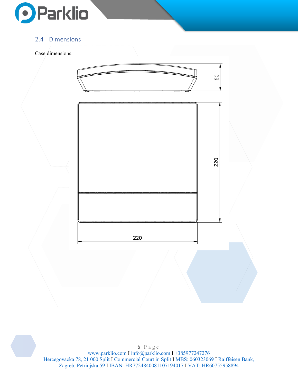

#### <span id="page-5-0"></span>2.4 Dimensions

#### Case dimensions:



 $6 | P$ a g e [www.parklio.com](http://www.parklio.com/) I [info@parklio.com](mailto:info@parklio.com) I +385977247276 Hercegovacka 78, 21 000 Split I Commercial Court in Split I MBS: 060323069 I Raiffeisen Bank, Zagreb, Petrinjska 59 I IBAN: HR7724840081107194017 I VAT: HR60755958894